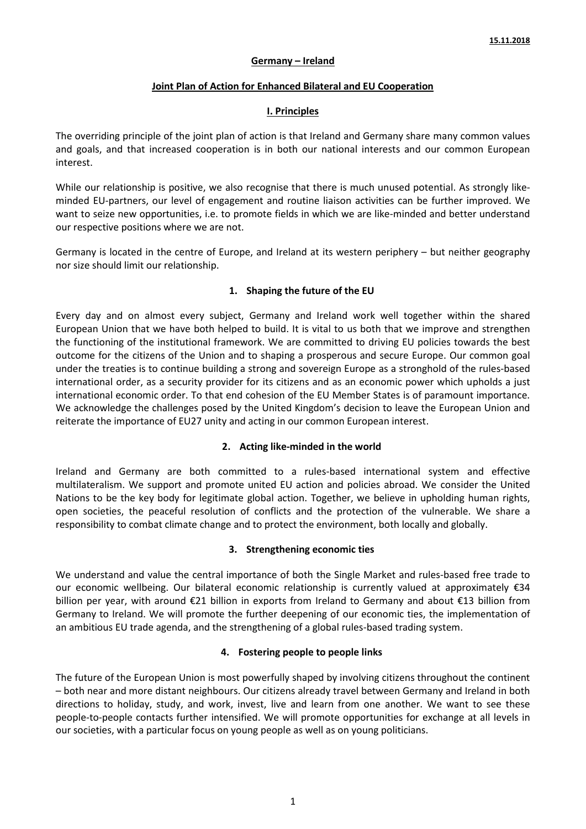### **Germany – Ireland**

#### **Joint Plan of Action for Enhanced Bilateral and EU Cooperation**

#### **I. Principles**

The overriding principle of the joint plan of action is that Ireland and Germany share many common values and goals, and that increased cooperation is in both our national interests and our common European interest.

While our relationship is positive, we also recognise that there is much unused potential. As strongly likeminded EU-partners, our level of engagement and routine liaison activities can be further improved. We want to seize new opportunities, i.e. to promote fields in which we are like-minded and better understand our respective positions where we are not.

Germany is located in the centre of Europe, and Ireland at its western periphery – but neither geography nor size should limit our relationship.

### **1. Shaping the future of the EU**

Every day and on almost every subject, Germany and Ireland work well together within the shared European Union that we have both helped to build. It is vital to us both that we improve and strengthen the functioning of the institutional framework. We are committed to driving EU policies towards the best outcome for the citizens of the Union and to shaping a prosperous and secure Europe. Our common goal under the treaties is to continue building a strong and sovereign Europe as a stronghold of the rules-based international order, as a security provider for its citizens and as an economic power which upholds a just international economic order. To that end cohesion of the EU Member States is of paramount importance. We acknowledge the challenges posed by the United Kingdom's decision to leave the European Union and reiterate the importance of EU27 unity and acting in our common European interest.

### **2. Acting like-minded in the world**

Ireland and Germany are both committed to a rules-based international system and effective multilateralism. We support and promote united EU action and policies abroad. We consider the United Nations to be the key body for legitimate global action. Together, we believe in upholding human rights, open societies, the peaceful resolution of conflicts and the protection of the vulnerable. We share a responsibility to combat climate change and to protect the environment, both locally and globally.

### **3. Strengthening economic ties**

We understand and value the central importance of both the Single Market and rules-based free trade to our economic wellbeing. Our bilateral economic relationship is currently valued at approximately €34 billion per year, with around €21 billion in exports from Ireland to Germany and about €13 billion from Germany to Ireland. We will promote the further deepening of our economic ties, the implementation of an ambitious EU trade agenda, and the strengthening of a global rules-based trading system.

### **4. Fostering people to people links**

The future of the European Union is most powerfully shaped by involving citizens throughout the continent – both near and more distant neighbours. Our citizens already travel between Germany and Ireland in both directions to holiday, study, and work, invest, live and learn from one another. We want to see these people-to-people contacts further intensified. We will promote opportunities for exchange at all levels in our societies, with a particular focus on young people as well as on young politicians.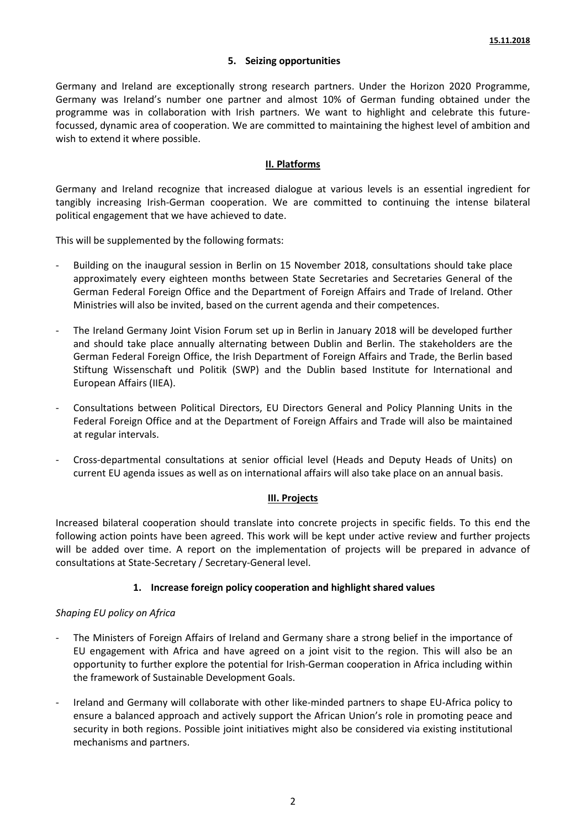### **5. Seizing opportunities**

Germany and Ireland are exceptionally strong research partners. Under the Horizon 2020 Programme, Germany was Ireland's number one partner and almost 10% of German funding obtained under the programme was in collaboration with Irish partners. We want to highlight and celebrate this futurefocussed, dynamic area of cooperation. We are committed to maintaining the highest level of ambition and wish to extend it where possible.

#### **II. Platforms**

Germany and Ireland recognize that increased dialogue at various levels is an essential ingredient for tangibly increasing Irish-German cooperation. We are committed to continuing the intense bilateral political engagement that we have achieved to date.

This will be supplemented by the following formats:

- Building on the inaugural session in Berlin on 15 November 2018, consultations should take place approximately every eighteen months between State Secretaries and Secretaries General of the German Federal Foreign Office and the Department of Foreign Affairs and Trade of Ireland. Other Ministries will also be invited, based on the current agenda and their competences.
- The Ireland Germany Joint Vision Forum set up in Berlin in January 2018 will be developed further and should take place annually alternating between Dublin and Berlin. The stakeholders are the German Federal Foreign Office, the Irish Department of Foreign Affairs and Trade, the Berlin based Stiftung Wissenschaft und Politik (SWP) and the Dublin based Institute for International and European Affairs (IIEA).
- Consultations between Political Directors, EU Directors General and Policy Planning Units in the Federal Foreign Office and at the Department of Foreign Affairs and Trade will also be maintained at regular intervals.
- Cross-departmental consultations at senior official level (Heads and Deputy Heads of Units) on current EU agenda issues as well as on international affairs will also take place on an annual basis.

#### **III. Projects**

Increased bilateral cooperation should translate into concrete projects in specific fields. To this end the following action points have been agreed. This work will be kept under active review and further projects will be added over time. A report on the implementation of projects will be prepared in advance of consultations at State-Secretary / Secretary-General level.

### **1. Increase foreign policy cooperation and highlight shared values**

### *Shaping EU policy on Africa*

- The Ministers of Foreign Affairs of Ireland and Germany share a strong belief in the importance of EU engagement with Africa and have agreed on a joint visit to the region. This will also be an opportunity to further explore the potential for Irish-German cooperation in Africa including within the framework of Sustainable Development Goals.
- Ireland and Germany will collaborate with other like-minded partners to shape EU-Africa policy to ensure a balanced approach and actively support the African Union's role in promoting peace and security in both regions. Possible joint initiatives might also be considered via existing institutional mechanisms and partners.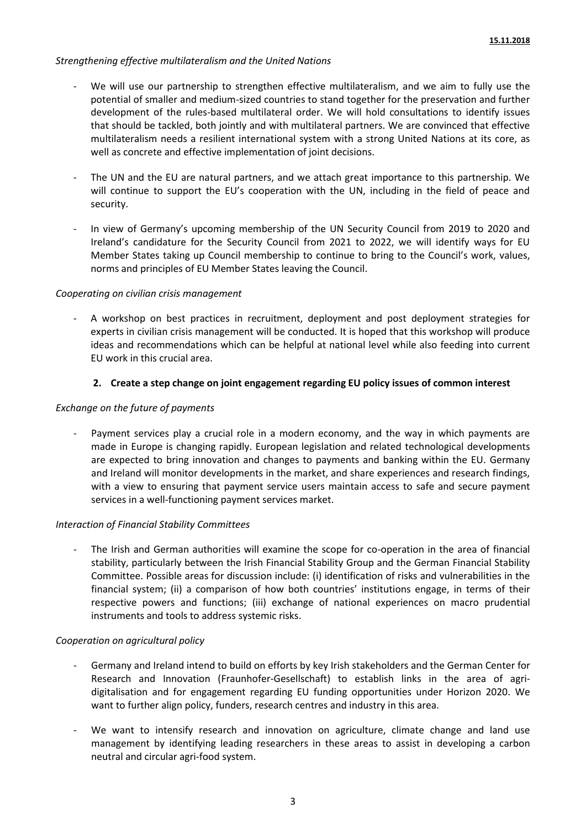### *Strengthening effective multilateralism and the United Nations*

- We will use our partnership to strengthen effective multilateralism, and we aim to fully use the potential of smaller and medium-sized countries to stand together for the preservation and further development of the rules-based multilateral order. We will hold consultations to identify issues that should be tackled, both jointly and with multilateral partners. We are convinced that effective multilateralism needs a resilient international system with a strong United Nations at its core, as well as concrete and effective implementation of joint decisions.
- The UN and the EU are natural partners, and we attach great importance to this partnership. We will continue to support the EU's cooperation with the UN, including in the field of peace and security.
- In view of Germany's upcoming membership of the UN Security Council from 2019 to 2020 and Ireland's candidature for the Security Council from 2021 to 2022, we will identify ways for EU Member States taking up Council membership to continue to bring to the Council's work, values, norms and principles of EU Member States leaving the Council.

### *Cooperating on civilian crisis management*

A workshop on best practices in recruitment, deployment and post deployment strategies for experts in civilian crisis management will be conducted. It is hoped that this workshop will produce ideas and recommendations which can be helpful at national level while also feeding into current EU work in this crucial area.

## **2. Create a step change on joint engagement regarding EU policy issues of common interest**

### *Exchange on the future of payments*

Payment services play a crucial role in a modern economy, and the way in which payments are made in Europe is changing rapidly. European legislation and related technological developments are expected to bring innovation and changes to payments and banking within the EU. Germany and Ireland will monitor developments in the market, and share experiences and research findings, with a view to ensuring that payment service users maintain access to safe and secure payment services in a well-functioning payment services market.

### *Interaction of Financial Stability Committees*

The Irish and German authorities will examine the scope for co-operation in the area of financial stability, particularly between the Irish Financial Stability Group and the German Financial Stability Committee. Possible areas for discussion include: (i) identification of risks and vulnerabilities in the financial system; (ii) a comparison of how both countries' institutions engage, in terms of their respective powers and functions; (iii) exchange of national experiences on macro prudential instruments and tools to address systemic risks.

### *Cooperation on agricultural policy*

- Germany and Ireland intend to build on efforts by key Irish stakeholders and the German Center for Research and Innovation (Fraunhofer-Gesellschaft) to establish links in the area of agridigitalisation and for engagement regarding EU funding opportunities under Horizon 2020. We want to further align policy, funders, research centres and industry in this area.
- We want to intensify research and innovation on agriculture, climate change and land use management by identifying leading researchers in these areas to assist in developing a carbon neutral and circular agri-food system.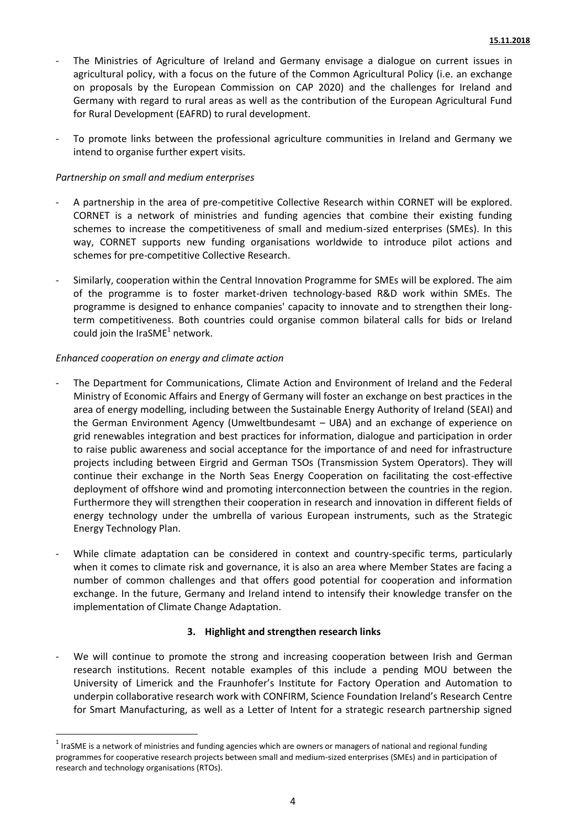- The Ministries of Agriculture of Ireland and Germany envisage a dialogue on current issues in agricultural policy, with a focus on the future of the Common Agricultural Policy (i.e. an exchange on proposals by the European Commission on CAP 2020) and the challenges for Ireland and Germany with regard to rural areas as well as the contribution of the European Agricultural Fund for Rural Development (EAFRD) to rural development.
- To promote links between the professional agriculture communities in Ireland and Germany we intend to organise further expert visits.

#### *Partnership on small and medium enterprises*

- A partnership in the area of pre-competitive Collective Research within CORNET will be explored. CORNET is a network of ministries and funding agencies that combine their existing funding schemes to increase the competitiveness of small and medium-sized enterprises (SMEs). In this way, CORNET supports new funding organisations worldwide to introduce pilot actions and schemes for pre-competitive Collective Research.
- Similarly, cooperation within the Central Innovation Programme for SMEs will be explored. The aim of the programme is to foster market-driven technology-based R&D work within SMEs. The programme is designed to enhance companies' capacity to innovate and to strengthen their longterm competitiveness. Both countries could organise common bilateral calls for bids or Ireland could join the IraSME<sup>1</sup> network.

#### *Enhanced cooperation on energy and climate action*

**.** 

- The Department for Communications, Climate Action and Environment of Ireland and the Federal Ministry of Economic Affairs and Energy of Germany will foster an exchange on best practices in the area of energy modelling, including between the Sustainable Energy Authority of Ireland (SEAI) and the German Environment Agency (Umweltbundesamt – UBA) and an exchange of experience on grid renewables integration and best practices for information, dialogue and participation in order to raise public awareness and social acceptance for the importance of and need for infrastructure projects including between Eirgrid and German TSOs (Transmission System Operators). They will continue their exchange in the North Seas Energy Cooperation on facilitating the cost-effective deployment of offshore wind and promoting interconnection between the countries in the region. Furthermore they will strengthen their cooperation in research and innovation in different fields of energy technology under the umbrella of various European instruments, such as the Strategic Energy Technology Plan.
- While climate adaptation can be considered in context and country-specific terms, particularly when it comes to climate risk and governance, it is also an area where Member States are facing a number of common challenges and that offers good potential for cooperation and information exchange. In the future, Germany and Ireland intend to intensify their knowledge transfer on the implementation of Climate Change Adaptation.

#### **3. Highlight and strengthen research links**

We will continue to promote the strong and increasing cooperation between Irish and German research institutions. Recent notable examples of this include a pending MOU between the University of Limerick and the Fraunhofer's Institute for Factory Operation and Automation to underpin collaborative research work with CONFIRM, Science Foundation Ireland's Research Centre for Smart Manufacturing, as well as a Letter of Intent for a strategic research partnership signed

 $^1$  IraSME is a network of ministries and funding agencies which are owners or managers of national and regional funding programmes for cooperative research projects between small and medium-sized enterprises (SMEs) and in participation of research and technology organisations (RTOs).